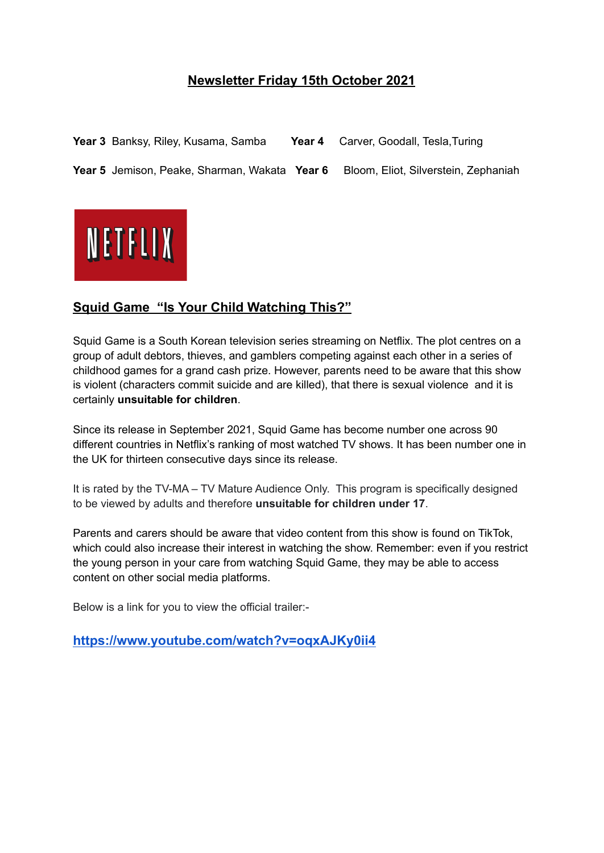## **Newsletter Friday 15th October 2021**

**Year 3** Banksy, Riley, Kusama, Samba **Year 4** Carver, Goodall, Tesla,Turing **Year 5** Jemison, Peake, Sharman, Wakata **Year 6** Bloom, Eliot, Silverstein, Zephaniah



# **Squid Game "Is Your Child Watching This?"**

Squid Game is a South Korean television series streaming on Netflix. The plot centres on a group of adult debtors, thieves, and gamblers competing against each other in a series of childhood games for a grand cash prize. However, parents need to be aware that this show is violent (characters commit suicide and are killed), that there is sexual violence and it is certainly **unsuitable for children**.

Since its release in September 2021, Squid Game has become number one across 90 different countries in Netflix's ranking of most watched TV shows. It has been number one in the UK for thirteen consecutive days since its release.

It is rated by the TV-MA – TV Mature Audience Only. This program is specifically designed to be viewed by adults and therefore **unsuitable for children under 17**.

Parents and carers should be aware that video content from this show is found on TikTok, which could also increase their interest in watching the show. Remember: even if you restrict the young person in your care from watching Squid Game, they may be able to access content on other social media platforms.

Below is a link for you to view the official trailer:-

**<https://www.youtube.com/watch?v=oqxAJKy0ii4>**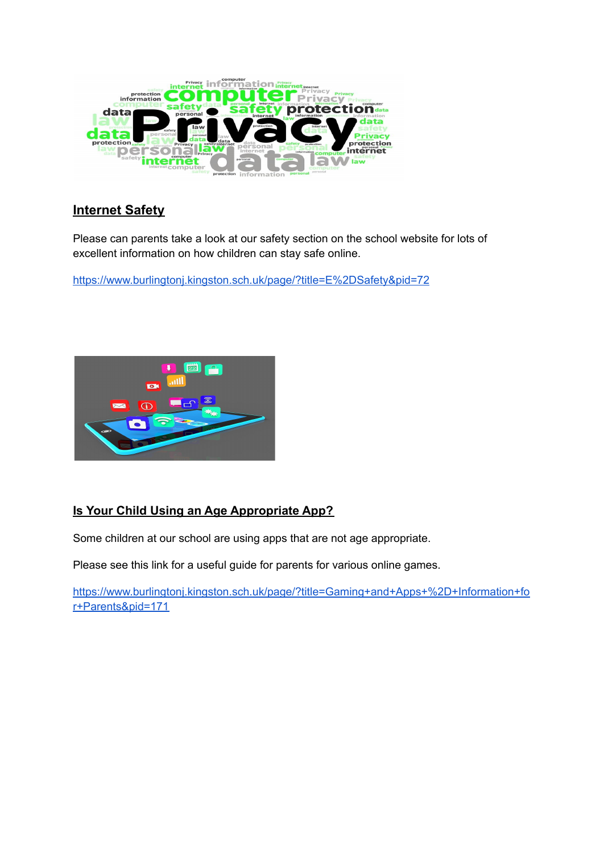

## **Internet Safety**

Please can parents take a look at our safety section on the school website for lots of excellent information on how children can stay safe online.

<https://www.burlingtonj.kingston.sch.uk/page/?title=E%2DSafety&pid=72>



# **Is Your Child Using an Age Appropriate App?**

Some children at our school are using apps that are not age appropriate.

Please see this link for a useful guide for parents for various online games.

[https://www.burlingtonj.kingston.sch.uk/page/?title=Gaming+and+Apps+%2D+Information+fo](https://www.burlingtonj.kingston.sch.uk/page/?title=Gaming+and+Apps+%2D+Information+for+Parents&pid=171) [r+Parents&pid=171](https://www.burlingtonj.kingston.sch.uk/page/?title=Gaming+and+Apps+%2D+Information+for+Parents&pid=171)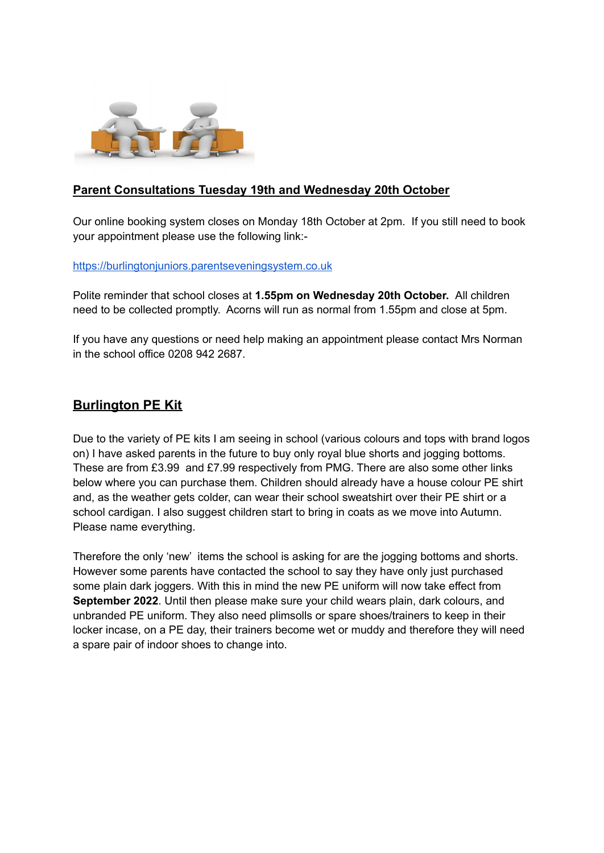

#### **Parent Consultations Tuesday 19th and Wednesday 20th October**

Our online booking system closes on Monday 18th October at 2pm. If you still need to book your appointment please use the following link:-

#### <https://burlingtonjuniors.parentseveningsystem.co.uk>

Polite reminder that school closes at **1.55pm on Wednesday 20th October.** All children need to be collected promptly. Acorns will run as normal from 1.55pm and close at 5pm.

If you have any questions or need help making an appointment please contact Mrs Norman in the school office 0208 942 2687.

#### **Burlington PE Kit**

Due to the variety of PE kits I am seeing in school (various colours and tops with brand logos on) I have asked parents in the future to buy only royal blue shorts and jogging bottoms. These are from £3.99 and £7.99 respectively from PMG. There are also some other links below where you can purchase them. Children should already have a house colour PE shirt and, as the weather gets colder, can wear their school sweatshirt over their PE shirt or a school cardigan. I also suggest children start to bring in coats as we move into Autumn. Please name everything.

Therefore the only 'new' items the school is asking for are the jogging bottoms and shorts. However some parents have contacted the school to say they have only just purchased some plain dark joggers. With this in mind the new PE uniform will now take effect from **September 2022**. Until then please make sure your child wears plain, dark colours, and unbranded PE uniform. They also need plimsolls or spare shoes/trainers to keep in their locker incase, on a PE day, their trainers become wet or muddy and therefore they will need a spare pair of indoor shoes to change into.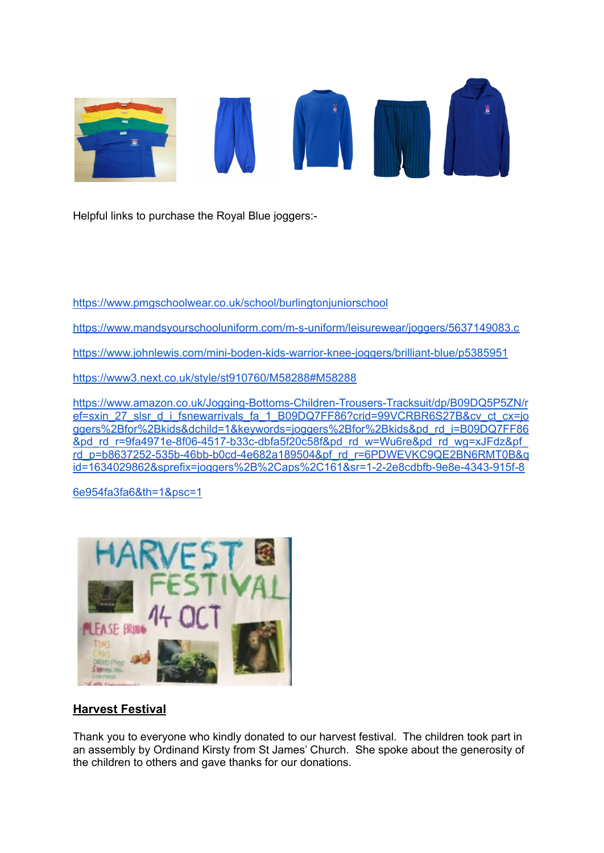

Helpful links to purchase the Royal Blue joggers:-

<https://www.pmgschoolwear.co.uk/school/burlingtonjuniorschool>

<https://www.mandsyourschooluniform.com/m-s-uniform/leisurewear/joggers/5637149083.c>

<https://www.johnlewis.com/mini-boden-kids-warrior-knee-joggers/brilliant-blue/p5385951>

<https://www3.next.co.uk/style/st910760/M58288#M58288>

[https://www.amazon.co.uk/Jogging-Bottoms-Children-Trousers-Tracksuit/dp/B09DQ5P5ZN/r](https://www.amazon.co.uk/Jogging-Bottoms-Children-Trousers-Tracksuit/dp/B09DQ5P5ZN/ref=sxin_27_slsr_d_i_fsnewarrivals_fa_1_B09DQ7FF86?crid=99VCRBR6S27B&cv_ct_cx=joggers%2Bfor%2Bkids&dchild=1&keywords=joggers%2Bfor%2Bkids&pd_rd_i=B09DQ7FF86&pd_rd_r=9fa4971e-8f06-4517-b33c-dbfa5f20c58f&pd_rd_w=Wu6re&pd_rd_wg=xJFdz&pf_rd_p=b8637252-535b-46bb-b0cd-4e682a189504&pf_rd_r=6PDWEVKC9QE2BN6RMT0B&qid=1634029862&sprefix=joggers%2B%2Caps%2C161&sr=1-2-2e8cdbfb-9e8e-4343-915f-86e954fa3fa6&th=1&psc=1) [ef=sxin\\_27\\_slsr\\_d\\_i\\_fsnewarrivals\\_fa\\_1\\_B09DQ7FF86?crid=99VCRBR6S27B&cv\\_ct\\_cx=jo](https://www.amazon.co.uk/Jogging-Bottoms-Children-Trousers-Tracksuit/dp/B09DQ5P5ZN/ref=sxin_27_slsr_d_i_fsnewarrivals_fa_1_B09DQ7FF86?crid=99VCRBR6S27B&cv_ct_cx=joggers%2Bfor%2Bkids&dchild=1&keywords=joggers%2Bfor%2Bkids&pd_rd_i=B09DQ7FF86&pd_rd_r=9fa4971e-8f06-4517-b33c-dbfa5f20c58f&pd_rd_w=Wu6re&pd_rd_wg=xJFdz&pf_rd_p=b8637252-535b-46bb-b0cd-4e682a189504&pf_rd_r=6PDWEVKC9QE2BN6RMT0B&qid=1634029862&sprefix=joggers%2B%2Caps%2C161&sr=1-2-2e8cdbfb-9e8e-4343-915f-86e954fa3fa6&th=1&psc=1) [ggers%2Bfor%2Bkids&dchild=1&keywords=joggers%2Bfor%2Bkids&pd\\_rd\\_i=B09DQ7FF86](https://www.amazon.co.uk/Jogging-Bottoms-Children-Trousers-Tracksuit/dp/B09DQ5P5ZN/ref=sxin_27_slsr_d_i_fsnewarrivals_fa_1_B09DQ7FF86?crid=99VCRBR6S27B&cv_ct_cx=joggers%2Bfor%2Bkids&dchild=1&keywords=joggers%2Bfor%2Bkids&pd_rd_i=B09DQ7FF86&pd_rd_r=9fa4971e-8f06-4517-b33c-dbfa5f20c58f&pd_rd_w=Wu6re&pd_rd_wg=xJFdz&pf_rd_p=b8637252-535b-46bb-b0cd-4e682a189504&pf_rd_r=6PDWEVKC9QE2BN6RMT0B&qid=1634029862&sprefix=joggers%2B%2Caps%2C161&sr=1-2-2e8cdbfb-9e8e-4343-915f-86e954fa3fa6&th=1&psc=1) [&pd\\_rd\\_r=9fa4971e-8f06-4517-b33c-dbfa5f20c58f&pd\\_rd\\_w=Wu6re&pd\\_rd\\_wg=xJFdz&pf\\_](https://www.amazon.co.uk/Jogging-Bottoms-Children-Trousers-Tracksuit/dp/B09DQ5P5ZN/ref=sxin_27_slsr_d_i_fsnewarrivals_fa_1_B09DQ7FF86?crid=99VCRBR6S27B&cv_ct_cx=joggers%2Bfor%2Bkids&dchild=1&keywords=joggers%2Bfor%2Bkids&pd_rd_i=B09DQ7FF86&pd_rd_r=9fa4971e-8f06-4517-b33c-dbfa5f20c58f&pd_rd_w=Wu6re&pd_rd_wg=xJFdz&pf_rd_p=b8637252-535b-46bb-b0cd-4e682a189504&pf_rd_r=6PDWEVKC9QE2BN6RMT0B&qid=1634029862&sprefix=joggers%2B%2Caps%2C161&sr=1-2-2e8cdbfb-9e8e-4343-915f-86e954fa3fa6&th=1&psc=1) [rd\\_p=b8637252-535b-46bb-b0cd-4e682a189504&pf\\_rd\\_r=6PDWEVKC9QE2BN6RMT0B&q](https://www.amazon.co.uk/Jogging-Bottoms-Children-Trousers-Tracksuit/dp/B09DQ5P5ZN/ref=sxin_27_slsr_d_i_fsnewarrivals_fa_1_B09DQ7FF86?crid=99VCRBR6S27B&cv_ct_cx=joggers%2Bfor%2Bkids&dchild=1&keywords=joggers%2Bfor%2Bkids&pd_rd_i=B09DQ7FF86&pd_rd_r=9fa4971e-8f06-4517-b33c-dbfa5f20c58f&pd_rd_w=Wu6re&pd_rd_wg=xJFdz&pf_rd_p=b8637252-535b-46bb-b0cd-4e682a189504&pf_rd_r=6PDWEVKC9QE2BN6RMT0B&qid=1634029862&sprefix=joggers%2B%2Caps%2C161&sr=1-2-2e8cdbfb-9e8e-4343-915f-86e954fa3fa6&th=1&psc=1) [id=1634029862&sprefix=joggers%2B%2Caps%2C161&sr=1-2-2e8cdbfb-9e8e-4343-915f-8](https://www.amazon.co.uk/Jogging-Bottoms-Children-Trousers-Tracksuit/dp/B09DQ5P5ZN/ref=sxin_27_slsr_d_i_fsnewarrivals_fa_1_B09DQ7FF86?crid=99VCRBR6S27B&cv_ct_cx=joggers%2Bfor%2Bkids&dchild=1&keywords=joggers%2Bfor%2Bkids&pd_rd_i=B09DQ7FF86&pd_rd_r=9fa4971e-8f06-4517-b33c-dbfa5f20c58f&pd_rd_w=Wu6re&pd_rd_wg=xJFdz&pf_rd_p=b8637252-535b-46bb-b0cd-4e682a189504&pf_rd_r=6PDWEVKC9QE2BN6RMT0B&qid=1634029862&sprefix=joggers%2B%2Caps%2C161&sr=1-2-2e8cdbfb-9e8e-4343-915f-86e954fa3fa6&th=1&psc=1)

[6e954fa3fa6&th=1&psc=1](https://www.amazon.co.uk/Jogging-Bottoms-Children-Trousers-Tracksuit/dp/B09DQ5P5ZN/ref=sxin_27_slsr_d_i_fsnewarrivals_fa_1_B09DQ7FF86?crid=99VCRBR6S27B&cv_ct_cx=joggers%2Bfor%2Bkids&dchild=1&keywords=joggers%2Bfor%2Bkids&pd_rd_i=B09DQ7FF86&pd_rd_r=9fa4971e-8f06-4517-b33c-dbfa5f20c58f&pd_rd_w=Wu6re&pd_rd_wg=xJFdz&pf_rd_p=b8637252-535b-46bb-b0cd-4e682a189504&pf_rd_r=6PDWEVKC9QE2BN6RMT0B&qid=1634029862&sprefix=joggers%2B%2Caps%2C161&sr=1-2-2e8cdbfb-9e8e-4343-915f-86e954fa3fa6&th=1&psc=1)



#### **Harvest Festival**

Thank you to everyone who kindly donated to our harvest festival. The children took part in an assembly by Ordinand Kirsty from St James' Church. She spoke about the generosity of the children to others and gave thanks for our donations.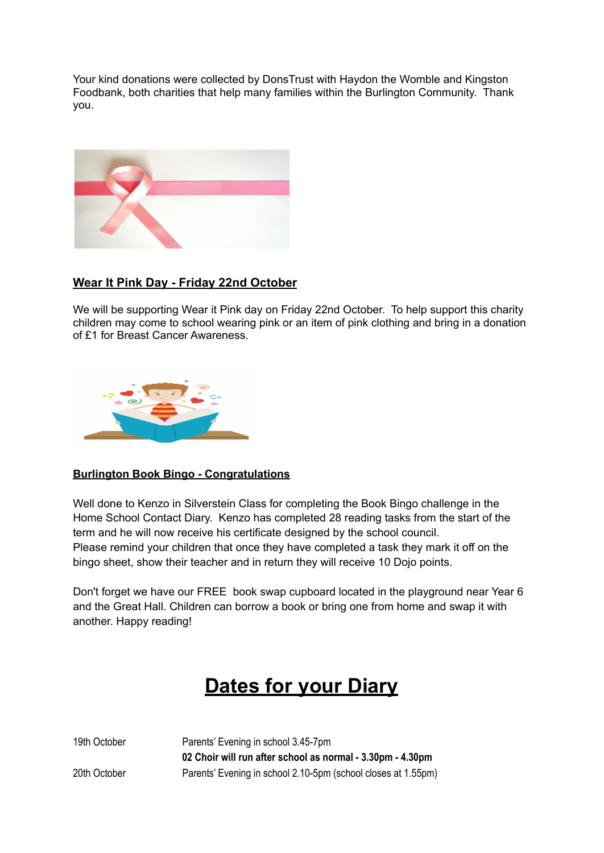Your kind donations were collected by DonsTrust with Haydon the Womble and Kingston Foodbank, both charities that help many families within the Burlington Community. Thank you.



#### **Wear It Pink Day - Friday 22nd October**

We will be supporting Wear it Pink day on Friday 22nd October. To help support this charity children may come to school wearing pink or an item of pink clothing and bring in a donation of £1 for Breast Cancer Awareness.



#### **Burlington Book Bingo - Congratulations**

Well done to Kenzo in Silverstein Class for completing the Book Bingo challenge in the Home School Contact Diary. Kenzo has completed 28 reading tasks from the start of the term and he will now receive his certificate designed by the school council. Please remind your children that once they have completed a task they mark it off on the bingo sheet, show their teacher and in return they will receive 10 Dojo points.

Don't forget we have our FREE book swap cupboard located in the playground near Year 6 and the Great Hall. Children can borrow a book or bring one from home and swap it with another. Happy reading!

# **Dates for your Diary**

19th October Parents' Evening in school 3.45-7pm **02 Choir will run after school as normal - 3.30pm - 4.30pm** 20th October Parents' Evening in school 2.10-5pm (school closes at 1.55pm)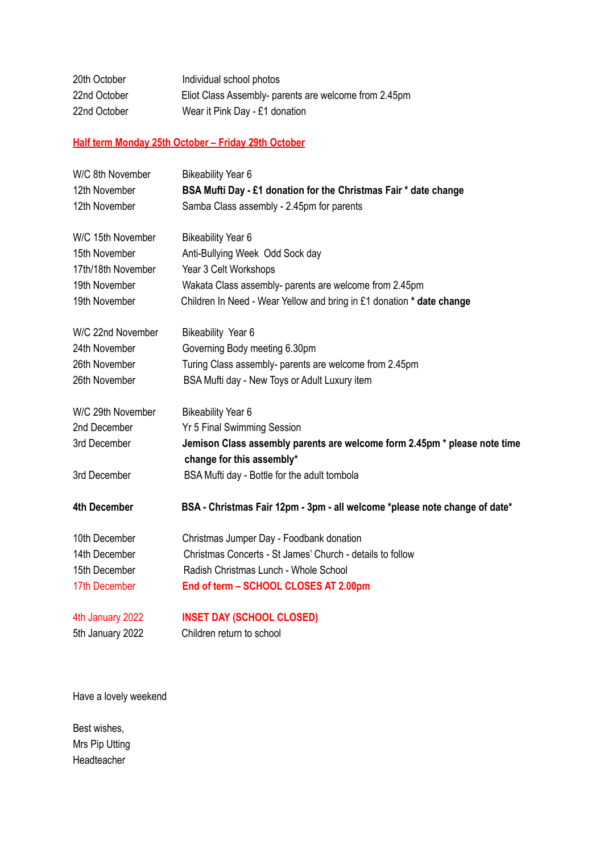| 20th October | Individual school photos                              |
|--------------|-------------------------------------------------------|
| 22nd October | Eliot Class Assembly- parents are welcome from 2.45pm |
| 22nd October | Wear it Pink Day - £1 donation                        |

# **Half term Monday 25th October – Friday 29th October**

| W/C 8th November    | <b>Bikeability Year 6</b>                                                                              |
|---------------------|--------------------------------------------------------------------------------------------------------|
| 12th November       | BSA Mufti Day - £1 donation for the Christmas Fair * date change                                       |
| 12th November       | Samba Class assembly - 2.45pm for parents                                                              |
| W/C 15th November   | <b>Bikeability Year 6</b>                                                                              |
| 15th November       | Anti-Bullying Week Odd Sock day                                                                        |
| 17th/18th November  | Year 3 Celt Workshops                                                                                  |
| 19th November       | Wakata Class assembly- parents are welcome from 2.45pm                                                 |
| 19th November       | Children In Need - Wear Yellow and bring in £1 donation * date change                                  |
| W/C 22nd November   | Bikeability Year 6                                                                                     |
| 24th November       | Governing Body meeting 6.30pm                                                                          |
| 26th November       | Turing Class assembly- parents are welcome from 2.45pm                                                 |
| 26th November       | BSA Mufti day - New Toys or Adult Luxury item                                                          |
| W/C 29th November   | <b>Bikeability Year 6</b>                                                                              |
| 2nd December        | <b>Yr 5 Final Swimming Session</b>                                                                     |
| 3rd December        | Jemison Class assembly parents are welcome form 2.45pm * please note time<br>change for this assembly* |
| 3rd December        | BSA Mufti day - Bottle for the adult tombola                                                           |
| <b>4th December</b> | BSA - Christmas Fair 12pm - 3pm - all welcome *please note change of date*                             |
| 10th December       | Christmas Jumper Day - Foodbank donation                                                               |
| 14th December       | Christmas Concerts - St James' Church - details to follow                                              |
| 15th December       | Radish Christmas Lunch - Whole School                                                                  |
| 17th December       | End of term - SCHOOL CLOSES AT 2.00pm                                                                  |
| 4th January 2022    | <b>INSET DAY (SCHOOL CLOSED)</b>                                                                       |
| 5th January 2022    | Children return to school                                                                              |

Have a lovely weekend

Best wishes, Mrs Pip Utting Headteacher